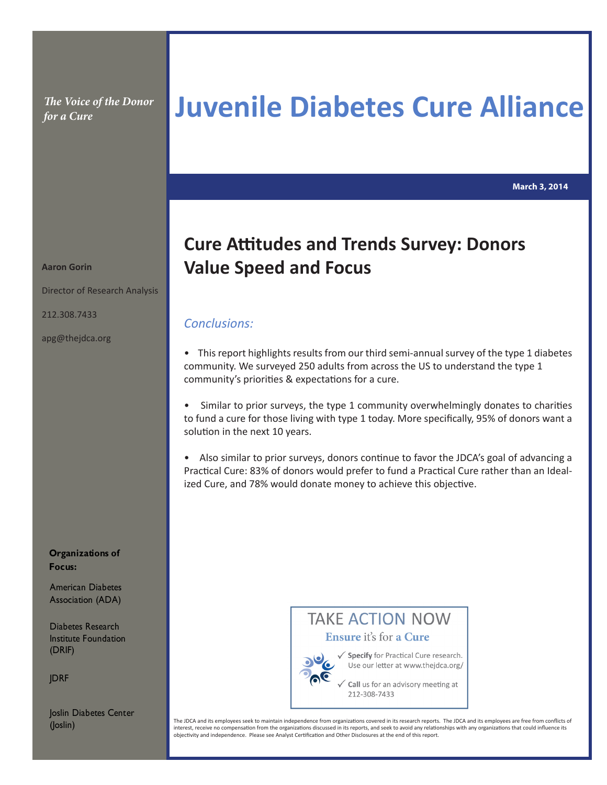*The Voice of the Donor* 

# *The Voice of the Donor* Juvenile Diabetes Cure Alliance

**March 3, 2014**

## **Cure Attitudes and Trends Survey: Donors Value Speed and Focus**

### *Conclusions:*

• This report highlights results from our third semi-annual survey of the type 1 diabetes community. We surveyed 250 adults from across the US to understand the type 1 community's priorities & expectations for a cure.

• Similar to prior surveys, the type 1 community overwhelmingly donates to charities to fund a cure for those living with type 1 today. More specifically, 95% of donors want a solution in the next 10 years.

• Also similar to prior surveys, donors continue to favor the JDCA's goal of advancing a Practical Cure: 83% of donors would prefer to fund a Practical Cure rather than an Idealized Cure, and 78% would donate money to achieve this objective.



Use our letter at www.thejdca.org/

Call us for an advisory meeting at 212-308-7433

The JDCA and its employees seek to maintain independence from organizations covered in its research reports. The JDCA and its employees are free from conflicts of interest, receive no compensation from the organizations discussed in its reports, and seek to avoid any relationships with any organizations that could influence its objectivity and independence. Please see Analyst Certification and Other Disclosures at the end of this report.

**Aaron Gorin**

Director of Research Analysis

212.308.7433

apg@thejdca.org

**Organizations of Focus:**

American Diabetes Association (ADA)

Diabetes Research Institute Foundation (DRIF)

**JDRF** 

Joslin Diabetes Center (Joslin)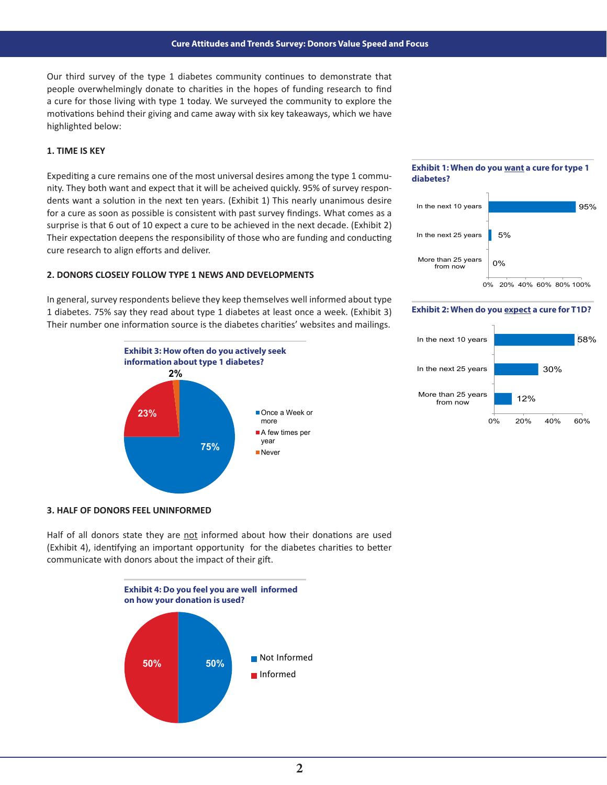Our third survey of the type 1 diabetes community continues to demonstrate that people overwhelmingly donate to charities in the hopes of funding research to find a cure for those living with type 1 today. We surveyed the community to explore the motivations behind their giving and came away with six key takeaways, which we have highlighted below:

#### **1. TIME IS KEY**

Expediting a cure remains one of the most universal desires among the type 1 community. They both want and expect that it will be acheived quickly. 95% of survey respondents want a solution in the next ten years. (Exhibit 1) This nearly unanimous desire for a cure as soon as possible is consistent with past survey findings. What comes as a surprise is that 6 out of 10 expect a cure to be achieved in the next decade. (Exhibit 2) Their expectation deepens the responsibility of those who are funding and conducting cure research to align efforts and deliver.

#### **2. DONORS CLOSELY FOLLOW TYPE 1 NEWS AND DEVELOPMENTS**

In general, survey respondents believe they keep themselves well informed about type 1 diabetes. 75% say they read about type 1 diabetes at least once a week. (Exhibit 3) Their number one information source is the diabetes charities' websites and mailings.



#### **3. HALF OF DONORS FEEL UNINFORMED**

Half of all donors state they are not informed about how their donations are used (Exhibit 4), identifying an important opportunity for the diabetes charities to better communicate with donors about the impact of their gift.



#### **Exhibit 1: When do you want a cure for type 1 diabetes?**



#### **Exhibit 2: When do you expect a cure for T1D?**

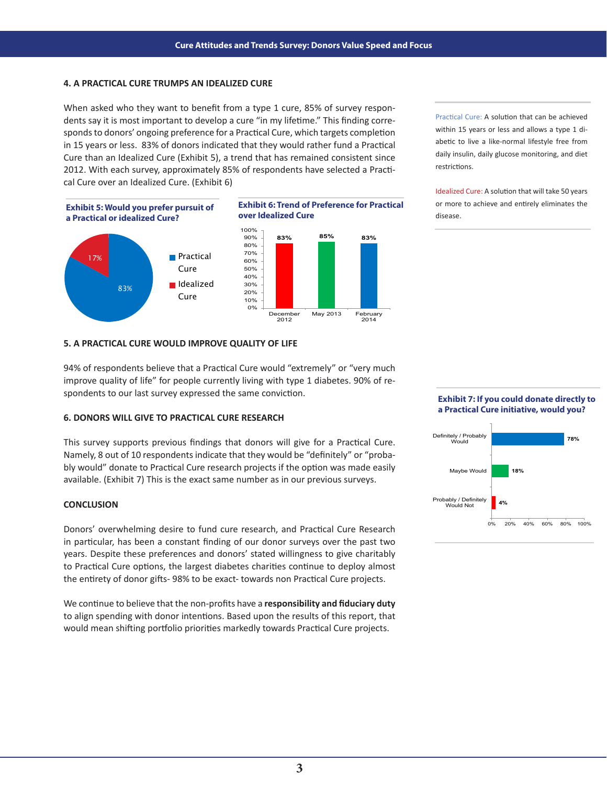#### **4. A PRACTICAL CURE TRUMPS AN IDEALIZED CURE**

When asked who they want to benefit from a type 1 cure, 85% of survey respondents say it is most important to develop a cure "in my lifetime." This finding corresponds to donors' ongoing preference for a Practical Cure, which targets completion in 15 years or less. 83% of donors indicated that they would rather fund a Practical Cure than an Idealized Cure (Exhibit 5), a trend that has remained consistent since 2012. With each survey, approximately 85% of respondents have selected a Practical Cure over an Idealized Cure. (Exhibit 6)







Practical Cure: A solution that can be achieved within 15 years or less and allows a type 1 diabetic to live a like-normal lifestyle free from daily insulin, daily glucose monitoring, and diet restrictions.

Idealized Cure: A solution that will take 50 years or more to achieve and entirely eliminates the disease.

#### **5. A PRACTICAL CURE WOULD IMPROVE QUALITY OF LIFE**

94% of respondents believe that a Practical Cure would "extremely" or "very much improve quality of life" for people currently living with type 1 diabetes. 90% of respondents to our last survey expressed the same conviction.

#### **6. DONORS WILL GIVE TO PRACTICAL CURE RESEARCH**

This survey supports previous findings that donors will give for a Practical Cure. Namely, 8 out of 10 respondents indicate that they would be "definitely" or "probably would" donate to Practical Cure research projects if the option was made easily available. (Exhibit 7) This is the exact same number as in our previous surveys.

#### **CONCLUSION**

Donors' overwhelming desire to fund cure research, and Practical Cure Research in particular, has been a constant finding of our donor surveys over the past two years. Despite these preferences and donors' stated willingness to give charitably to Practical Cure options, the largest diabetes charities continue to deploy almost the entirety of donor gifts- 98% to be exact- towards non Practical Cure projects.

We continue to believe that the non-profits have a **responsibility and fiduciary duty** to align spending with donor intentions. Based upon the results of this report, that would mean shifting portfolio priorities markedly towards Practical Cure projects.

#### **Exhibit 7: If you could donate directly to a Practical Cure initiative, would you?**